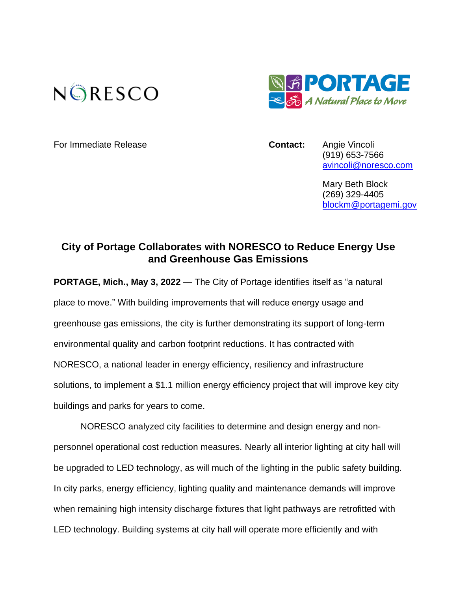



For Immediate Release **Contact:** Angie Vincoli

(919) 653-7566 [avincoli@noresco.com](mailto:avincoli@noresco.com)

Mary Beth Block (269) 329-4405 [blockm@portagemi.gov](file:///C:/Users/avincoli/Documents/cdrive/Angie/2022%20Marketing%20Planning/2022%20Publicity%20Planning/Portage%20MI/blockm@portagemi.gov)

## **City of Portage Collaborates with NORESCO to Reduce Energy Use and Greenhouse Gas Emissions**

**PORTAGE, Mich., May 3, 2022** — The City of Portage identifies itself as "a natural place to move." With building improvements that will reduce energy usage and greenhouse gas emissions, the city is further demonstrating its support of long-term environmental quality and carbon footprint reductions. It has contracted with NORESCO, a national leader in energy efficiency, resiliency and infrastructure solutions, to implement a \$1.1 million energy efficiency project that will improve key city buildings and parks for years to come.

NORESCO analyzed city facilities to determine and design energy and nonpersonnel operational cost reduction measures. Nearly all interior lighting at city hall will be upgraded to LED technology, as will much of the lighting in the public safety building. In city parks, energy efficiency, lighting quality and maintenance demands will improve when remaining high intensity discharge fixtures that light pathways are retrofitted with LED technology. Building systems at city hall will operate more efficiently and with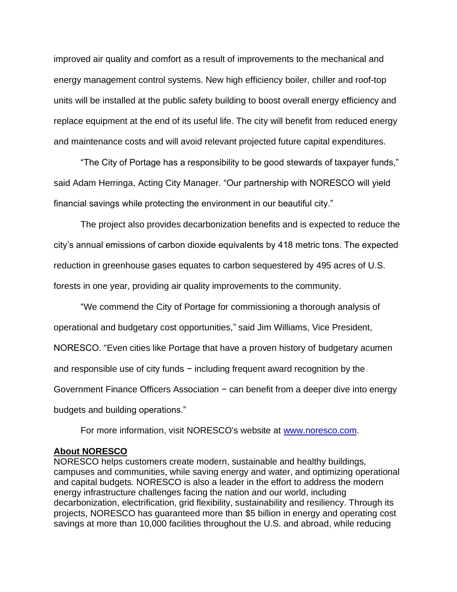improved air quality and comfort as a result of improvements to the mechanical and energy management control systems. New high efficiency boiler, chiller and roof-top units will be installed at the public safety building to boost overall energy efficiency and replace equipment at the end of its useful life. The city will benefit from reduced energy and maintenance costs and will avoid relevant projected future capital expenditures.

"The City of Portage has a responsibility to be good stewards of taxpayer funds," said Adam Herringa, Acting City Manager. "Our partnership with NORESCO will yield financial savings while protecting the environment in our beautiful city."

The project also provides decarbonization benefits and is expected to reduce the city's annual emissions of carbon dioxide equivalents by 418 metric tons. The expected reduction in greenhouse gases equates to carbon sequestered by 495 acres of U.S. forests in one year, providing air quality improvements to the community.

"We commend the City of Portage for commissioning a thorough analysis of operational and budgetary cost opportunities," said Jim Williams, Vice President, NORESCO. "Even cities like Portage that have a proven history of budgetary acumen and responsible use of city funds − including frequent award recognition by the Government Finance Officers Association − can benefit from a deeper dive into energy budgets and building operations."

For more information, visit NORESCO's website at [www.noresco.com.](https://www.noresco.com/)

## **About NORESCO**

NORESCO helps customers create modern, sustainable and healthy buildings, campuses and communities, while saving energy and water, and optimizing operational and capital budgets. NORESCO is also a leader in the effort to address the modern energy infrastructure challenges facing the nation and our world, including decarbonization, electrification, grid flexibility, sustainability and resiliency. Through its projects, NORESCO has guaranteed more than \$5 billion in energy and operating cost savings at more than 10,000 facilities throughout the U.S. and abroad, while reducing